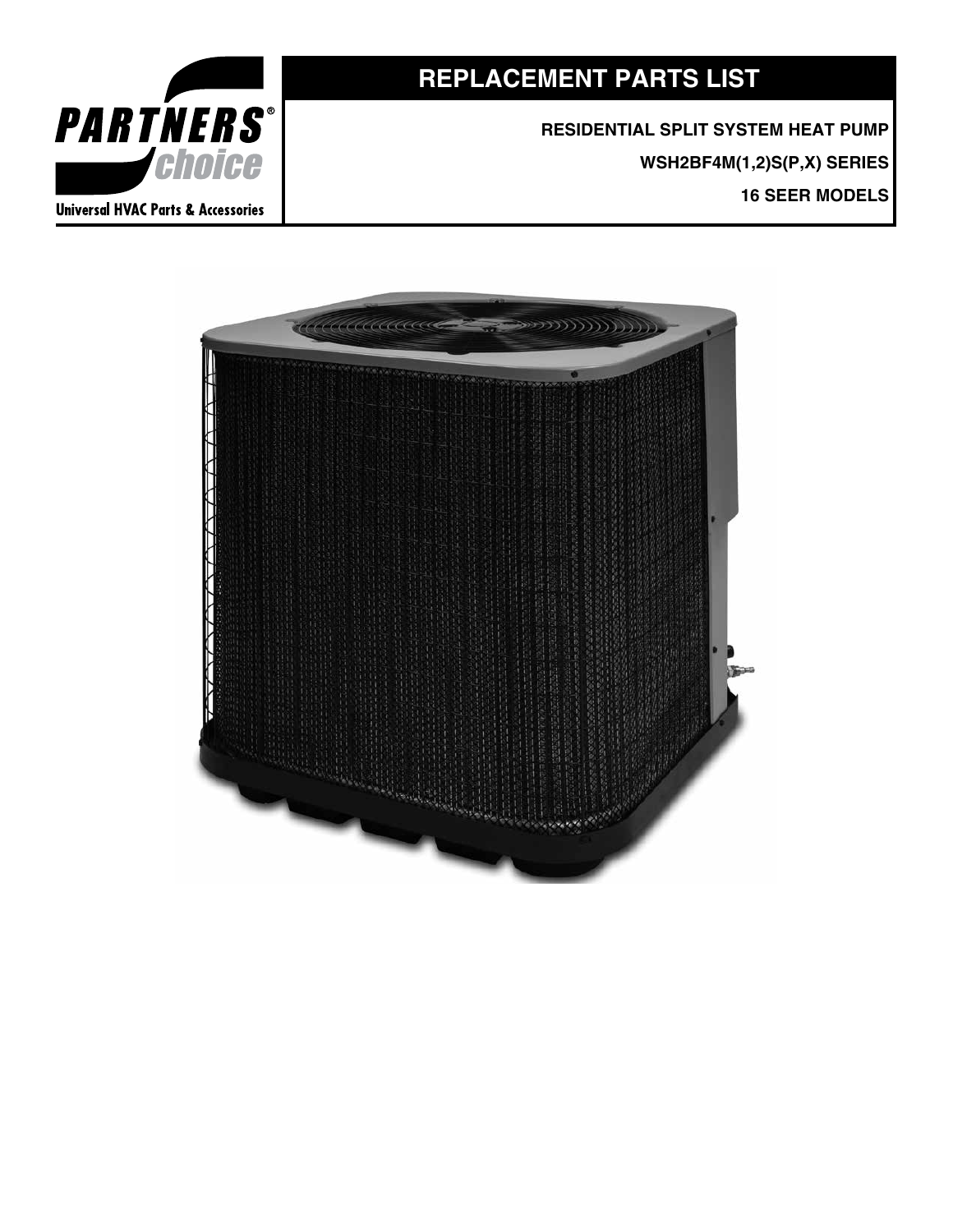## **REPLACEMENT PARTS LIST**

**RESIDENTIAL SPLIT SYSTEM HEAT PUMP WSH2BF4M(1,2)S(P,X) SERIES**

**16 SEER MODELS**



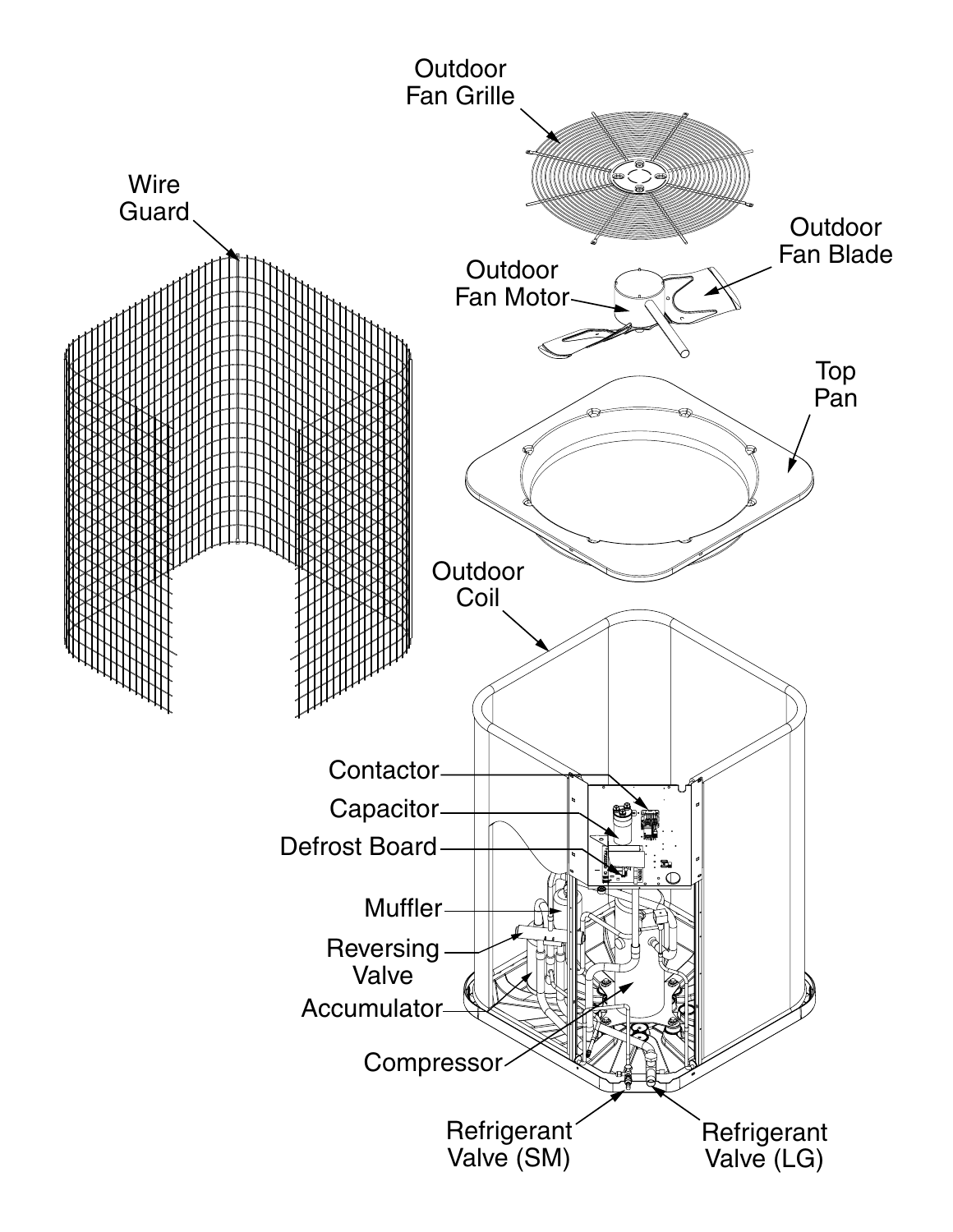